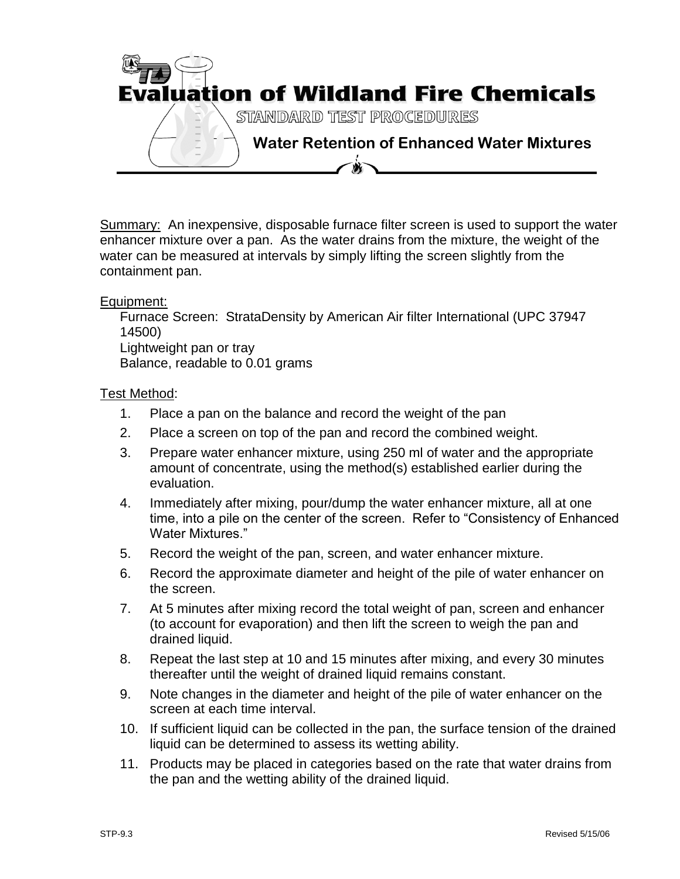

Summary: An inexpensive, disposable furnace filter screen is used to support the water enhancer mixture over a pan. As the water drains from the mixture, the weight of the water can be measured at intervals by simply lifting the screen slightly from the containment pan.

## Equipment:

Furnace Screen: StrataDensity by American Air filter International (UPC 37947 14500) Lightweight pan or tray Balance, readable to 0.01 grams

## Test Method:

- 1. Place a pan on the balance and record the weight of the pan
- 2. Place a screen on top of the pan and record the combined weight.
- 3. Prepare water enhancer mixture, using 250 ml of water and the appropriate amount of concentrate, using the method(s) established earlier during the evaluation.
- 4. Immediately after mixing, pour/dump the water enhancer mixture, all at one time, into a pile on the center of the screen. Refer to "Consistency of Enhanced Water Mixtures."
- 5. Record the weight of the pan, screen, and water enhancer mixture.
- 6. Record the approximate diameter and height of the pile of water enhancer on the screen.
- 7. At 5 minutes after mixing record the total weight of pan, screen and enhancer (to account for evaporation) and then lift the screen to weigh the pan and drained liquid.
- 8. Repeat the last step at 10 and 15 minutes after mixing, and every 30 minutes thereafter until the weight of drained liquid remains constant.
- 9. Note changes in the diameter and height of the pile of water enhancer on the screen at each time interval.
- 10. If sufficient liquid can be collected in the pan, the surface tension of the drained liquid can be determined to assess its wetting ability.
- 11. Products may be placed in categories based on the rate that water drains from the pan and the wetting ability of the drained liquid.